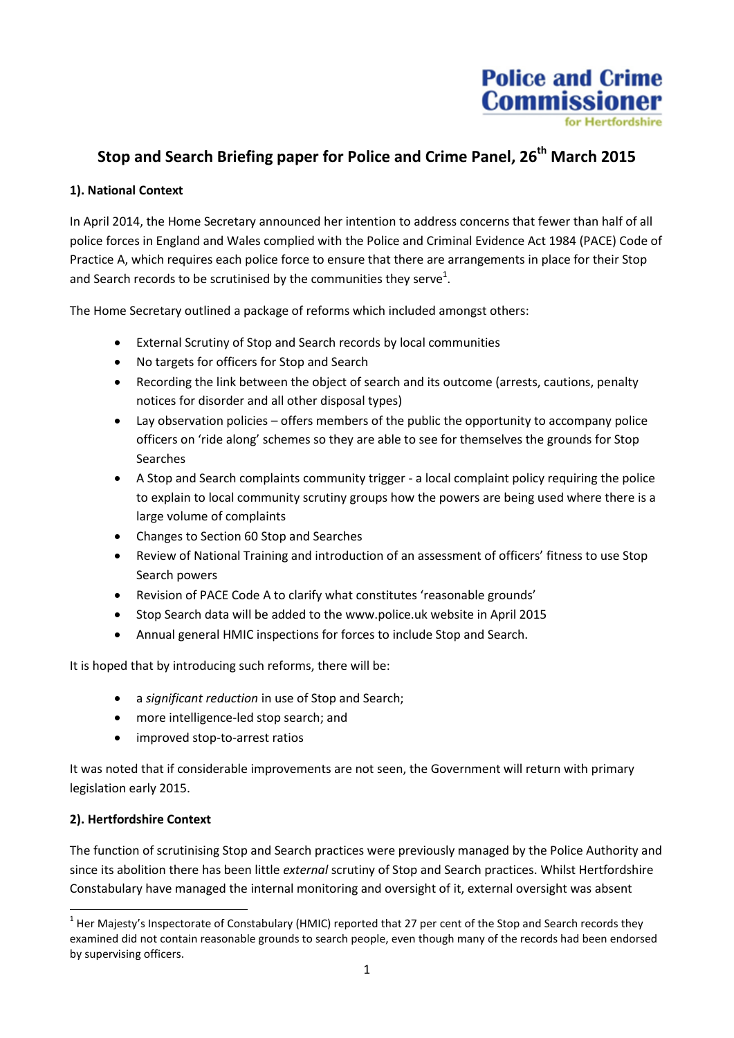

# **Stop and Search Briefing paper for Police and Crime Panel, 26th March 2015**

#### **1). National Context**

In April 2014, the Home Secretary announced her intention to address concerns that fewer than half of all police forces in England and Wales complied with the Police and Criminal Evidence Act 1984 (PACE) Code of Practice A, which requires each police force to ensure that there are arrangements in place for their Stop and Search records to be scrutinised by the communities they serve<sup>1</sup>.

The Home Secretary outlined a package of reforms which included amongst others:

- External Scrutiny of Stop and Search records by local communities
- No targets for officers for Stop and Search
- Recording the link between the object of search and its outcome (arrests, cautions, penalty notices for disorder and all other disposal types)
- Lay observation policies offers members of the public the opportunity to accompany police officers on 'ride along' schemes so they are able to see for themselves the grounds for Stop Searches
- A Stop and Search complaints community trigger a local complaint policy requiring the police to explain to local community scrutiny groups how the powers are being used where there is a large volume of complaints
- Changes to Section 60 Stop and Searches
- Review of National Training and introduction of an assessment of officers' fitness to use Stop Search powers
- Revision of PACE Code A to clarify what constitutes 'reasonable grounds'
- Stop Search data will be added to the [www.police.uk](http://www.police.uk/) website in April 2015
- Annual general HMIC inspections for forces to include Stop and Search.

It is hoped that by introducing such reforms, there will be:

- a *significant reduction* in use of Stop and Search;
- more intelligence-led stop search; and
- improved stop-to-arrest ratios

It was noted that if considerable improvements are not seen, the Government will return with primary legislation early 2015.

#### **2). Hertfordshire Context**

**.** 

The function of scrutinising Stop and Search practices were previously managed by the Police Authority and since its abolition there has been little *external* scrutiny of Stop and Search practices. Whilst Hertfordshire Constabulary have managed the internal monitoring and oversight of it, external oversight was absent

 $1$  Her Majesty's Inspectorate of Constabulary (HMIC) reported that 27 per cent of the Stop and Search records they examined did not contain reasonable grounds to search people, even though many of the records had been endorsed by supervising officers.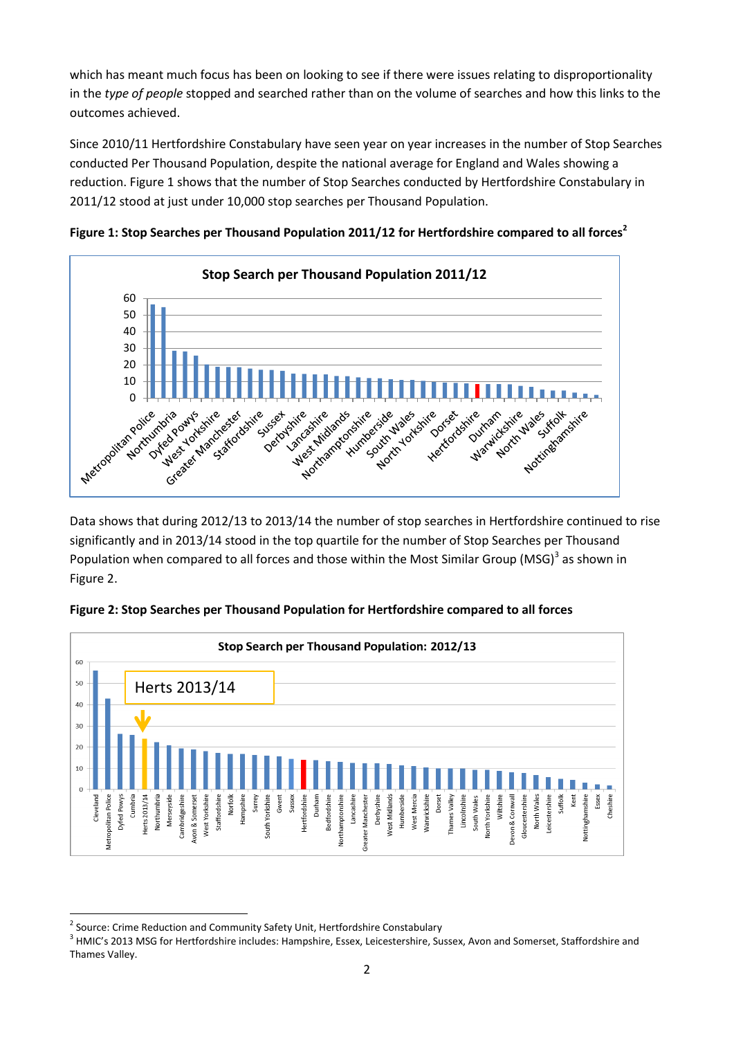which has meant much focus has been on looking to see if there were issues relating to disproportionality in the *type of people* stopped and searched rather than on the volume of searches and how this links to the outcomes achieved.

Since 2010/11 Hertfordshire Constabulary have seen year on year increases in the number of Stop Searches conducted Per Thousand Population, despite the national average for England and Wales showing a reduction. Figure 1 shows that the number of Stop Searches conducted by Hertfordshire Constabulary in 2011/12 stood at just under 10,000 stop searches per Thousand Population.



**Figure 1: Stop Searches per Thousand Population 2011/12 for Hertfordshire compared to all forces<sup>2</sup>**

Data shows that during 2012/13 to 2013/14 the number of stop searches in Hertfordshire continued to rise significantly and in 2013/14 stood in the top quartile for the number of Stop Searches per Thousand Population when compared to all forces and those within the Most Similar Group (MSG)<sup>3</sup> as shown in Figure 2.



**Figure 2: Stop Searches per Thousand Population for Hertfordshire compared to all forces**

<sup>1</sup> <sup>2</sup> Source: Crime Reduction and Community Safety Unit, Hertfordshire Constabulary

<sup>&</sup>lt;sup>3</sup> HMIC's 2013 MSG for Hertfordshire includes: Hampshire, Essex, Leicestershire, Sussex, Avon and Somerset, Staffordshire and Thames Valley.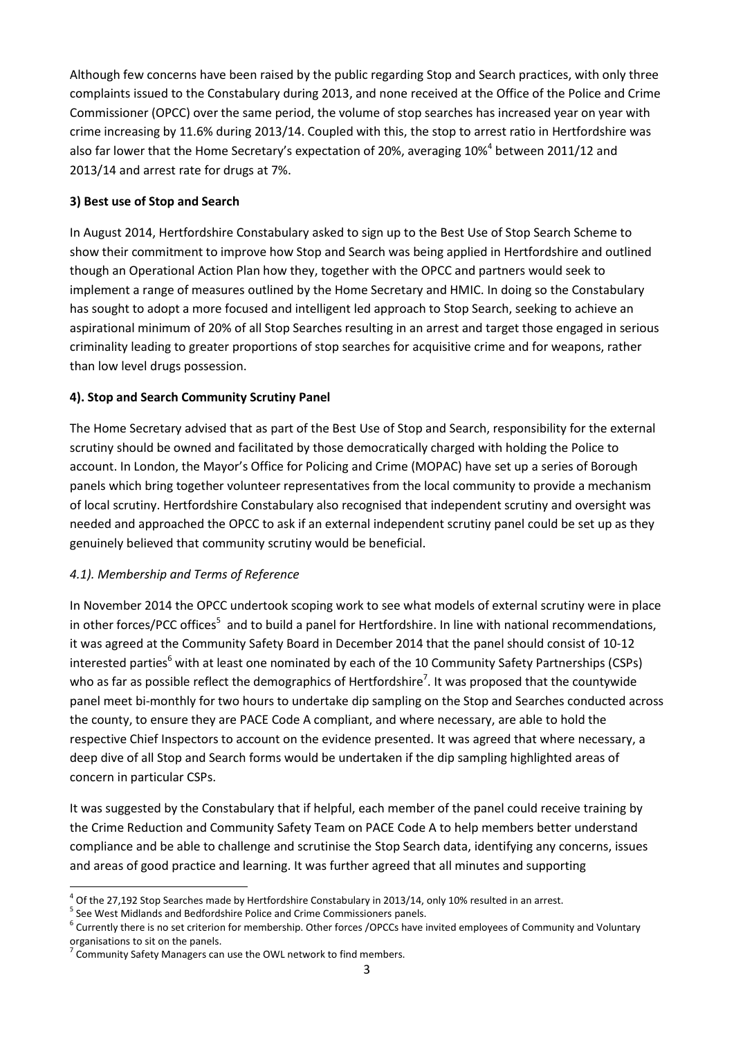Although few concerns have been raised by the public regarding Stop and Search practices, with only three complaints issued to the Constabulary during 2013, and none received at the Office of the Police and Crime Commissioner (OPCC) over the same period, the volume of stop searches has increased year on year with crime increasing by 11.6% during 2013/14. Coupled with this, the stop to arrest ratio in Hertfordshire was also far lower that the Home Secretary's expectation of 20%, averaging 10%<sup>4</sup> between 2011/12 and 2013/14 and arrest rate for drugs at 7%.

#### **3) Best use of Stop and Search**

In August 2014, Hertfordshire Constabulary asked to sign up to the Best Use of Stop Search Scheme to show their commitment to improve how Stop and Search was being applied in Hertfordshire and outlined though an Operational Action Plan how they, together with the OPCC and partners would seek to implement a range of measures outlined by the Home Secretary and HMIC. In doing so the Constabulary has sought to adopt a more focused and intelligent led approach to Stop Search, seeking to achieve an aspirational minimum of 20% of all Stop Searches resulting in an arrest and target those engaged in serious criminality leading to greater proportions of stop searches for acquisitive crime and for weapons, rather than low level drugs possession.

# **4). Stop and Search Community Scrutiny Panel**

The Home Secretary advised that as part of the Best Use of Stop and Search, responsibility for the external scrutiny should be owned and facilitated by those democratically charged with holding the Police to account. In London, the Mayor's Office for Policing and Crime (MOPAC) have set up a series of Borough panels which bring together volunteer representatives from the local community to provide a mechanism of local scrutiny. Hertfordshire Constabulary also recognised that independent scrutiny and oversight was needed and approached the OPCC to ask if an external independent scrutiny panel could be set up as they genuinely believed that community scrutiny would be beneficial.

# *4.1). Membership and Terms of Reference*

In November 2014 the OPCC undertook scoping work to see what models of external scrutiny were in place in other forces/PCC offices<sup>5</sup> and to build a panel for Hertfordshire. In line with national recommendations, it was agreed at the Community Safety Board in December 2014 that the panel should consist of 10-12 interested parties<sup>6</sup> with at least one nominated by each of the 10 Community Safety Partnerships (CSPs) who as far as possible reflect the demographics of Hertfordshire<sup>7</sup>. It was proposed that the countywide panel meet bi-monthly for two hours to undertake dip sampling on the Stop and Searches conducted across the county, to ensure they are PACE Code A compliant, and where necessary, are able to hold the respective Chief Inspectors to account on the evidence presented. It was agreed that where necessary, a deep dive of all Stop and Search forms would be undertaken if the dip sampling highlighted areas of concern in particular CSPs.

It was suggested by the Constabulary that if helpful, each member of the panel could receive training by the Crime Reduction and Community Safety Team on PACE Code A to help members better understand compliance and be able to challenge and scrutinise the Stop Search data, identifying any concerns, issues and areas of good practice and learning. It was further agreed that all minutes and supporting

**<sup>.</sup>**  $^{4}$  Of the 27,192 Stop Searches made by Hertfordshire Constabulary in 2013/14, only 10% resulted in an arrest.

<sup>&</sup>lt;sup>5</sup> See West Midlands and Bedfordshire Police and Crime Commissioners panels.

<sup>&</sup>lt;sup>6</sup> Currently there is no set criterion for membership. Other forces /OPCCs have invited employees of Community and Voluntary organisations to sit on the panels.

 $7$  Community Safety Managers can use the OWL network to find members.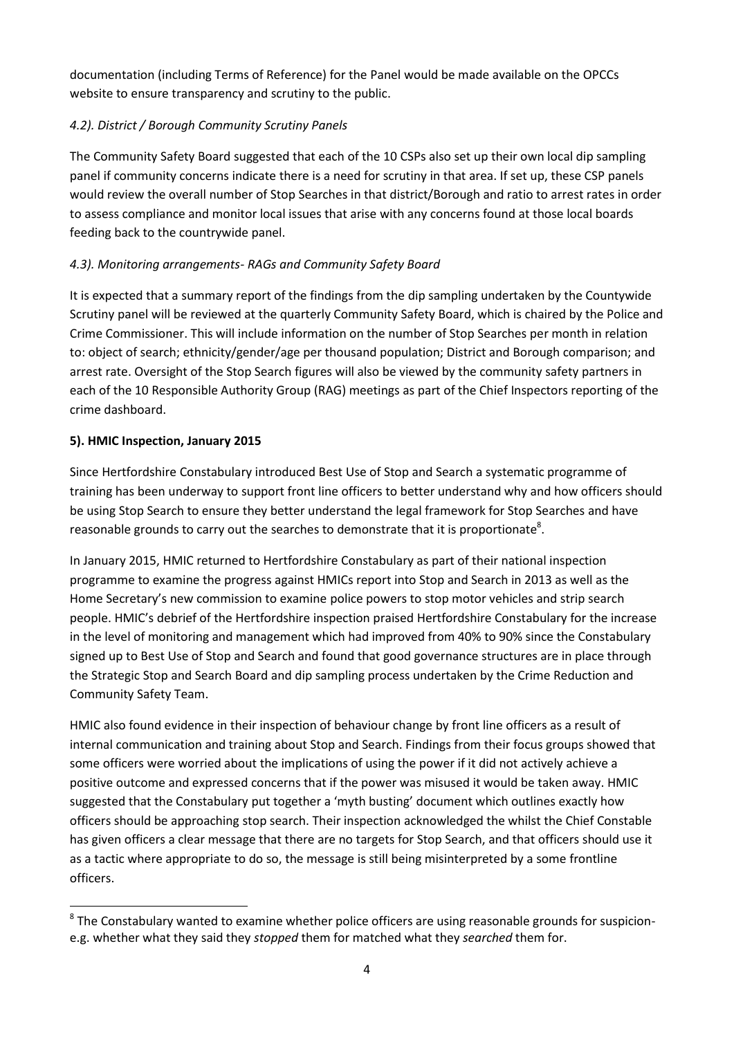documentation (including Terms of Reference) for the Panel would be made available on the OPCCs website to ensure transparency and scrutiny to the public.

# *4.2). District / Borough Community Scrutiny Panels*

The Community Safety Board suggested that each of the 10 CSPs also set up their own local dip sampling panel if community concerns indicate there is a need for scrutiny in that area. If set up, these CSP panels would review the overall number of Stop Searches in that district/Borough and ratio to arrest rates in order to assess compliance and monitor local issues that arise with any concerns found at those local boards feeding back to the countrywide panel.

# *4.3). Monitoring arrangements- RAGs and Community Safety Board*

It is expected that a summary report of the findings from the dip sampling undertaken by the Countywide Scrutiny panel will be reviewed at the quarterly Community Safety Board, which is chaired by the Police and Crime Commissioner. This will include information on the number of Stop Searches per month in relation to: object of search; ethnicity/gender/age per thousand population; District and Borough comparison; and arrest rate. Oversight of the Stop Search figures will also be viewed by the community safety partners in each of the 10 Responsible Authority Group (RAG) meetings as part of the Chief Inspectors reporting of the crime dashboard.

# **5). HMIC Inspection, January 2015**

**.** 

Since Hertfordshire Constabulary introduced Best Use of Stop and Search a systematic programme of training has been underway to support front line officers to better understand why and how officers should be using Stop Search to ensure they better understand the legal framework for Stop Searches and have reasonable grounds to carry out the searches to demonstrate that it is proportionate<sup>8</sup>.

In January 2015, HMIC returned to Hertfordshire Constabulary as part of their national inspection programme to examine the progress against HMICs report into Stop and Search in 2013 as well as the Home Secretary's new commission to examine police powers to stop motor vehicles and strip search people. HMIC's debrief of the Hertfordshire inspection praised Hertfordshire Constabulary for the increase in the level of monitoring and management which had improved from 40% to 90% since the Constabulary signed up to Best Use of Stop and Search and found that good governance structures are in place through the Strategic Stop and Search Board and dip sampling process undertaken by the Crime Reduction and Community Safety Team.

HMIC also found evidence in their inspection of behaviour change by front line officers as a result of internal communication and training about Stop and Search. Findings from their focus groups showed that some officers were worried about the implications of using the power if it did not actively achieve a positive outcome and expressed concerns that if the power was misused it would be taken away. HMIC suggested that the Constabulary put together a 'myth busting' document which outlines exactly how officers should be approaching stop search. Their inspection acknowledged the whilst the Chief Constable has given officers a clear message that there are no targets for Stop Search, and that officers should use it as a tactic where appropriate to do so, the message is still being misinterpreted by a some frontline officers.

 $8$  The Constabulary wanted to examine whether police officers are using reasonable grounds for suspicione.g. whether what they said they *stopped* them for matched what they *searched* them for.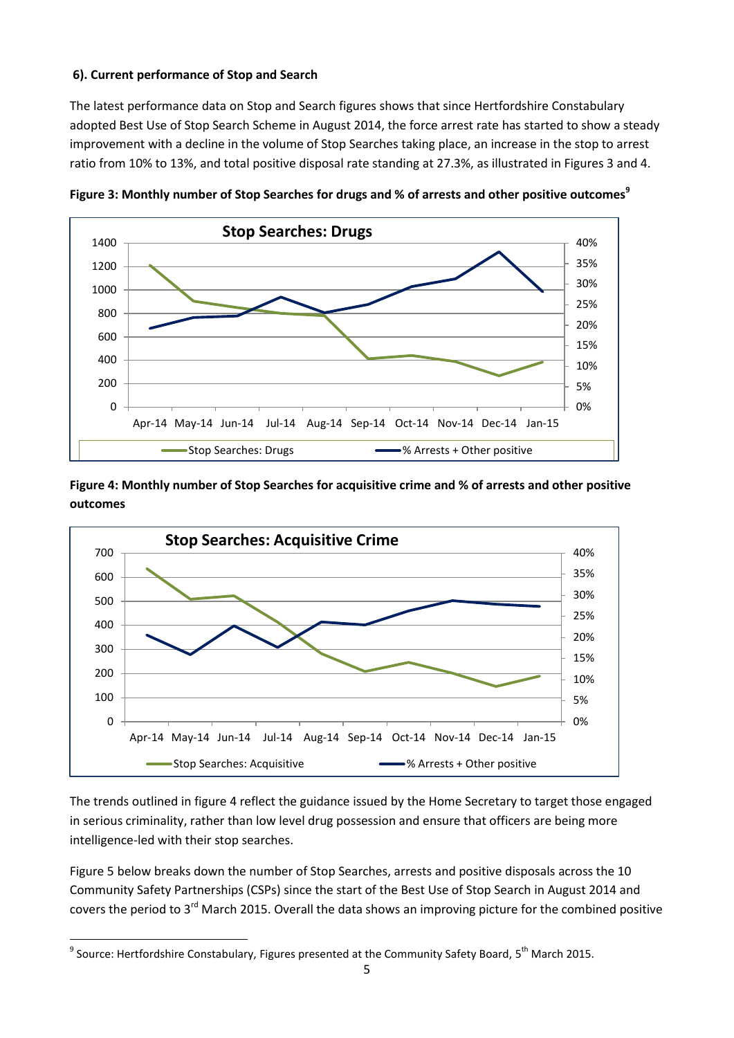#### **6). Current performance of Stop and Search**

The latest performance data on Stop and Search figures shows that since Hertfordshire Constabulary adopted Best Use of Stop Search Scheme in August 2014, the force arrest rate has started to show a steady improvement with a decline in the volume of Stop Searches taking place, an increase in the stop to arrest ratio from 10% to 13%, and total positive disposal rate standing at 27.3%, as illustrated in Figures 3 and 4.



**Figure 3: Monthly number of Stop Searches for drugs and % of arrests and other positive outcomes<sup>9</sup>**

**Figure 4: Monthly number of Stop Searches for acquisitive crime and % of arrests and other positive outcomes**



The trends outlined in figure 4 reflect the guidance issued by the Home Secretary to target those engaged in serious criminality, rather than low level drug possession and ensure that officers are being more intelligence-led with their stop searches.

Figure 5 below breaks down the number of Stop Searches, arrests and positive disposals across the 10 Community Safety Partnerships (CSPs) since the start of the Best Use of Stop Search in August 2014 and covers the period to 3<sup>rd</sup> March 2015. Overall the data shows an improving picture for the combined positive

**.** 

 $^9$  Source: Hertfordshire Constabulary, Figures presented at the Community Safety Board, 5<sup>th</sup> March 2015.